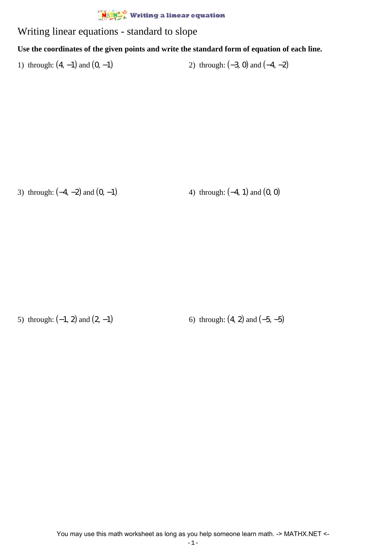## $\frac{M_{\text{A}} + M_{\text{A}}}{M_{\text{A}}}$  Writing a linear equation

## Writing linear equations - standard to slope

## **Use the coordinates of the given points and write the standard form of equation of each line.**

1) through:  $(4, -1)$  and  $(0, -1)$  2) through:  $(-3, 0)$  and  $(-4, -2)$ 

3) through:  $(-4, -2)$  and  $(0, -1)$  4) through:  $(-4, 1)$  and  $(0, 0)$ 

5) through:  $(-1, 2)$  and  $(2, -1)$  6) through:  $(4, 2)$  and  $(-5, -5)$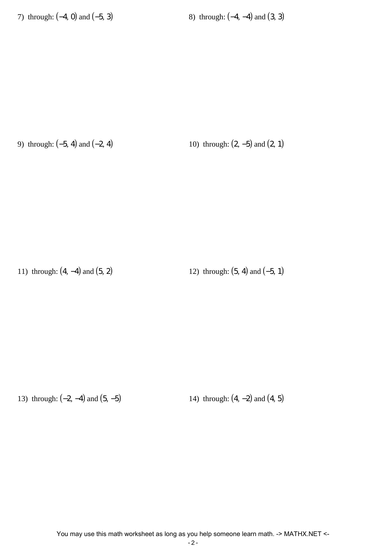7) through:  $(-4, 0)$  and  $(-5, 3)$  8) through:  $(-4, -4)$  and  $(3, 3)$ 

9) through:  $(-5, 4)$  and  $(-2, 4)$  10) through:  $(2, -5)$  and  $(2, 1)$ 

11) through:  $(4, -4)$  and  $(5, 2)$  12) through:  $(5, 4)$  and  $(-5, 1)$ 

13) through: (−2, −4) and (5, −5) 14) through: (4, −2) and (4, 5)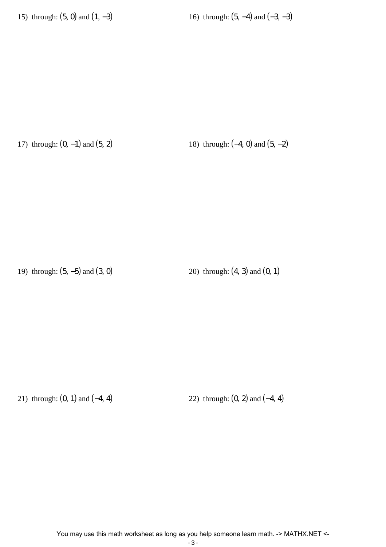15) through:  $(5, 0)$  and  $(1, -3)$  16) through:  $(5, -4)$  and  $(-3, -3)$ 

17) through:  $(0, -1)$  and  $(5, 2)$  18) through:  $(-4, 0)$  and  $(5, -2)$ 

19) through: (5, −5) and (3, 0) 20) through: (4, 3) and (0, 1)

21) through: (0, 1) and (−4, 4) 22) through: (0, 2) and (−4, 4)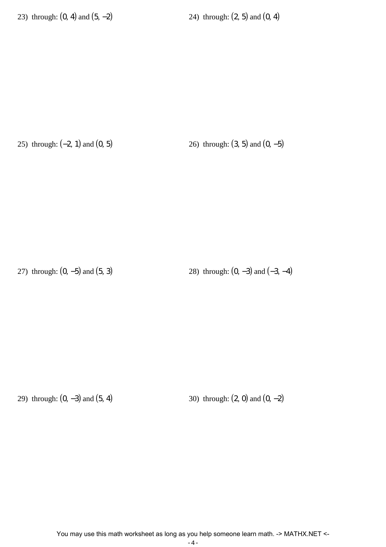23) through:  $(0, 4)$  and  $(5, -2)$  24) through:  $(2, 5)$  and  $(0, 4)$ 

25) through:  $(-2, 1)$  and  $(0, 5)$  26) through:  $(3, 5)$  and  $(0, -5)$ 

27) through:  $(0, -5)$  and  $(5, 3)$  28) through:  $(0, -3)$  and  $(-3, -4)$ 

29) through:  $(0, -3)$  and  $(5, 4)$  30) through:  $(2, 0)$  and  $(0, -2)$